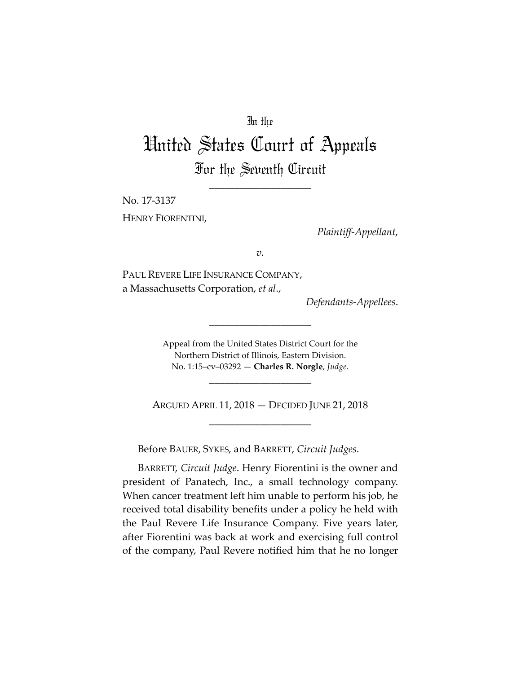## In the

## United States Court of Appeals For the Seventh Circuit

\_\_\_\_\_\_\_\_\_\_\_\_\_\_\_\_\_\_\_\_

No. 17-3137 HENRY FIORENTINI,

*Plaintiff-Appellant*,

*v.*

PAUL REVERE LIFE INSURANCE COMPANY, a Massachusetts Corporation, *et al*.,

*Defendants-Appellees*.

Appeal from the United States District Court for the Northern District of Illinois, Eastern Division. No. 1:15–cv–03292 — **Charles R. Norgle**, *Judge*.

\_\_\_\_\_\_\_\_\_\_\_\_\_\_\_\_\_\_\_\_

ARGUED APRIL 11, 2018 — DECIDED JUNE 21, 2018 \_\_\_\_\_\_\_\_\_\_\_\_\_\_\_\_\_\_\_\_

\_\_\_\_\_\_\_\_\_\_\_\_\_\_\_\_\_\_\_\_

Before BAUER, SYKES, and BARRETT, *Circuit Judges*.

BARRETT, *Circuit Judge*. Henry Fiorentini is the owner and president of Panatech, Inc., a small technology company. When cancer treatment left him unable to perform his job, he received total disability benefits under a policy he held with the Paul Revere Life Insurance Company. Five years later, after Fiorentini was back at work and exercising full control of the company, Paul Revere notified him that he no longer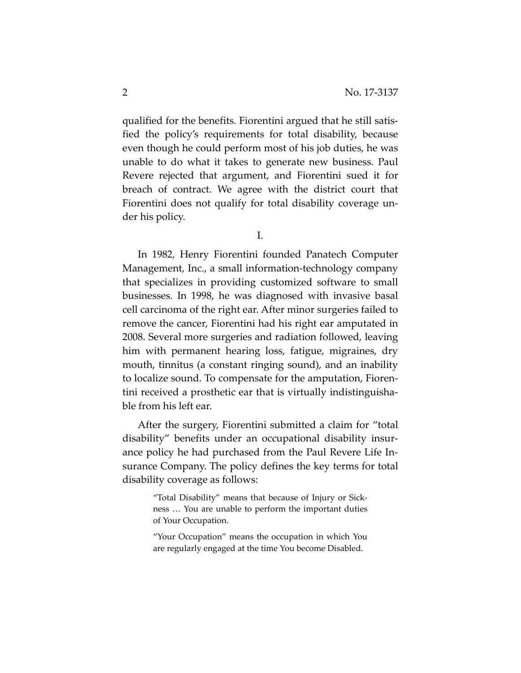qualified for the benefits. Fiorentini argued that he still satisfied the policy's requirements for total disability, because even though he could perform most of his job duties, he was unable to do what it takes to generate new business. Paul Revere rejected that argument, and Fiorentini sued it for breach of contract. We agree with the district court that Fiorentini does not qualify for total disability coverage under his policy.

I.

In 1982, Henry Fiorentini founded Panatech Computer Management, Inc., a small information-technology company that specializes in providing customized software to small businesses. In 1998, he was diagnosed with invasive basal cell carcinoma of the right ear. After minor surgeries failed to remove the cancer, Fiorentini had his right ear amputated in 2008. Several more surgeries and radiation followed, leaving him with permanent hearing loss, fatigue, migraines, dry mouth, tinnitus (a constant ringing sound), and an inability to localize sound. To compensate for the amputation, Fiorentini received a prosthetic ear that is virtually indistinguishable from his left ear.

After the surgery, Fiorentini submitted a claim for "total disability" benefits under an occupational disability insurance policy he had purchased from the Paul Revere Life Insurance Company. The policy defines the key terms for total disability coverage as follows:

> "Total Disability" means that because of Injury or Sickness … You are unable to perform the important duties of Your Occupation.

> "Your Occupation" means the occupation in which You are regularly engaged at the time You become Disabled.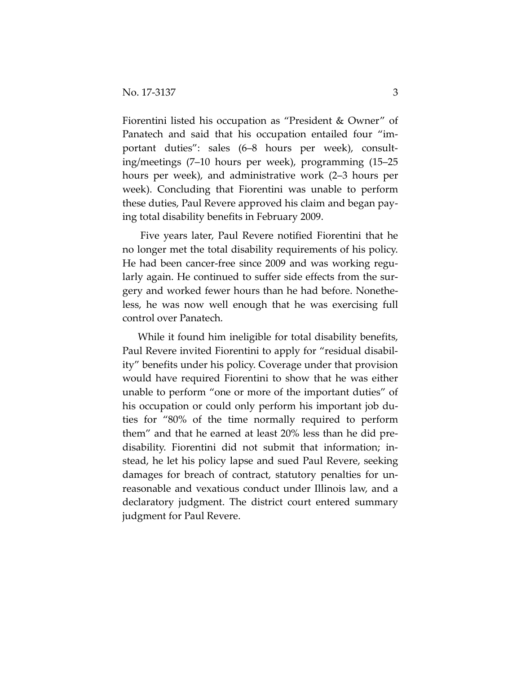Fiorentini listed his occupation as "President & Owner" of Panatech and said that his occupation entailed four "important duties": sales (6–8 hours per week), consulting/meetings (7–10 hours per week), programming (15–25 hours per week), and administrative work (2–3 hours per week). Concluding that Fiorentini was unable to perform these duties, Paul Revere approved his claim and began paying total disability benefits in February 2009.

Five years later, Paul Revere notified Fiorentini that he no longer met the total disability requirements of his policy. He had been cancer-free since 2009 and was working regularly again. He continued to suffer side effects from the surgery and worked fewer hours than he had before. Nonetheless, he was now well enough that he was exercising full control over Panatech.

While it found him ineligible for total disability benefits, Paul Revere invited Fiorentini to apply for "residual disability" benefits under his policy. Coverage under that provision would have required Fiorentini to show that he was either unable to perform "one or more of the important duties" of his occupation or could only perform his important job duties for "80% of the time normally required to perform them" and that he earned at least 20% less than he did predisability. Fiorentini did not submit that information; instead, he let his policy lapse and sued Paul Revere, seeking damages for breach of contract, statutory penalties for unreasonable and vexatious conduct under Illinois law, and a declaratory judgment. The district court entered summary judgment for Paul Revere.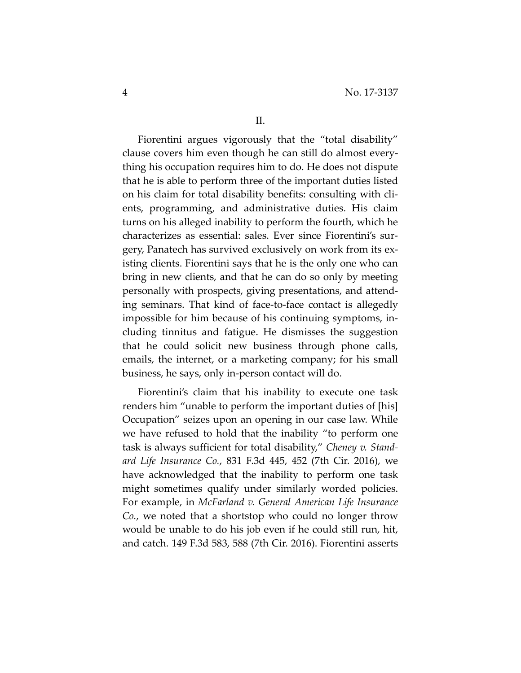Fiorentini argues vigorously that the "total disability" clause covers him even though he can still do almost everything his occupation requires him to do. He does not dispute that he is able to perform three of the important duties listed on his claim for total disability benefits: consulting with clients, programming, and administrative duties. His claim turns on his alleged inability to perform the fourth, which he characterizes as essential: sales. Ever since Fiorentini's surgery, Panatech has survived exclusively on work from its existing clients. Fiorentini says that he is the only one who can bring in new clients, and that he can do so only by meeting personally with prospects, giving presentations, and attending seminars. That kind of face-to-face contact is allegedly impossible for him because of his continuing symptoms, including tinnitus and fatigue. He dismisses the suggestion that he could solicit new business through phone calls, emails, the internet, or a marketing company; for his small business, he says, only in-person contact will do.

Fiorentini's claim that his inability to execute one task renders him "unable to perform the important duties of [his] Occupation" seizes upon an opening in our case law. While we have refused to hold that the inability "to perform one task is always sufficient for total disability," *Cheney v. Standard Life Insurance Co.*, 831 F.3d 445, 452 (7th Cir. 2016), we have acknowledged that the inability to perform one task might sometimes qualify under similarly worded policies. For example, in *McFarland v. General American Life Insurance Co.*, we noted that a shortstop who could no longer throw would be unable to do his job even if he could still run, hit, and catch. 149 F.3d 583, 588 (7th Cir. 2016). Fiorentini asserts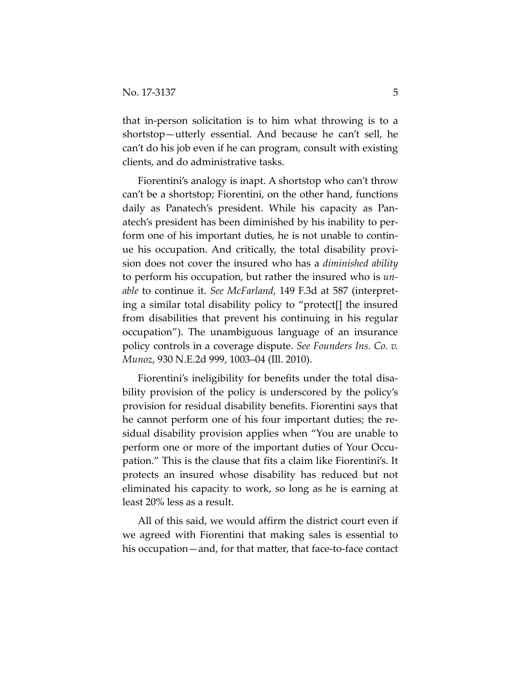that in-person solicitation is to him what throwing is to a shortstop—utterly essential. And because he can't sell, he can't do his job even if he can program, consult with existing clients, and do administrative tasks.

Fiorentini's analogy is inapt. A shortstop who can't throw can't be a shortstop; Fiorentini, on the other hand, functions daily as Panatech's president. While his capacity as Panatech's president has been diminished by his inability to perform one of his important duties, he is not unable to continue his occupation. And critically, the total disability provision does not cover the insured who has a *diminished ability* to perform his occupation, but rather the insured who is *unable* to continue it. *See McFarland*, 149 F.3d at 587 (interpreting a similar total disability policy to "protect[] the insured from disabilities that prevent his continuing in his regular occupation"). The unambiguous language of an insurance policy controls in a coverage dispute. *See Founders Ins. Co. v. Munoz*, 930 N.E.2d 999, 1003–04 (Ill. 2010).

Fiorentini's ineligibility for benefits under the total disability provision of the policy is underscored by the policy's provision for residual disability benefits. Fiorentini says that he cannot perform one of his four important duties; the residual disability provision applies when "You are unable to perform one or more of the important duties of Your Occupation." This is the clause that fits a claim like Fiorentini's. It protects an insured whose disability has reduced but not eliminated his capacity to work, so long as he is earning at least 20% less as a result.

All of this said, we would affirm the district court even if we agreed with Fiorentini that making sales is essential to his occupation—and, for that matter, that face-to-face contact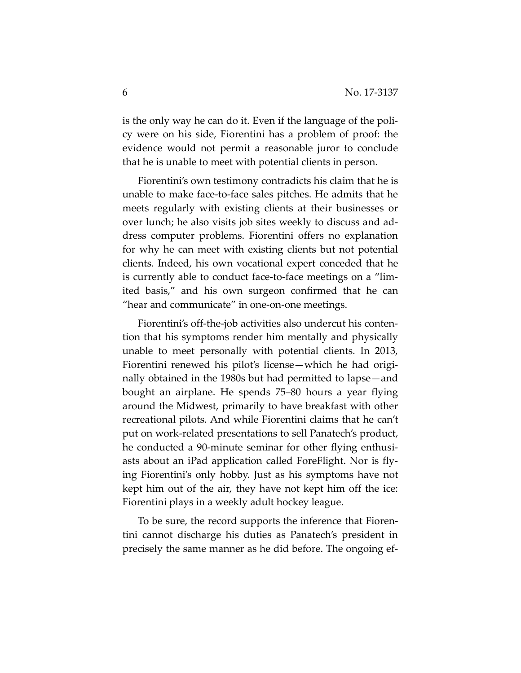is the only way he can do it. Even if the language of the policy were on his side, Fiorentini has a problem of proof: the evidence would not permit a reasonable juror to conclude that he is unable to meet with potential clients in person.

Fiorentini's own testimony contradicts his claim that he is unable to make face-to-face sales pitches. He admits that he meets regularly with existing clients at their businesses or over lunch; he also visits job sites weekly to discuss and address computer problems. Fiorentini offers no explanation for why he can meet with existing clients but not potential clients. Indeed, his own vocational expert conceded that he is currently able to conduct face-to-face meetings on a "limited basis," and his own surgeon confirmed that he can "hear and communicate" in one-on-one meetings.

Fiorentini's off-the-job activities also undercut his contention that his symptoms render him mentally and physically unable to meet personally with potential clients. In 2013, Fiorentini renewed his pilot's license—which he had originally obtained in the 1980s but had permitted to lapse—and bought an airplane. He spends 75–80 hours a year flying around the Midwest, primarily to have breakfast with other recreational pilots. And while Fiorentini claims that he can't put on work-related presentations to sell Panatech's product, he conducted a 90-minute seminar for other flying enthusiasts about an iPad application called ForeFlight. Nor is flying Fiorentini's only hobby. Just as his symptoms have not kept him out of the air, they have not kept him off the ice: Fiorentini plays in a weekly adult hockey league.

To be sure, the record supports the inference that Fiorentini cannot discharge his duties as Panatech's president in precisely the same manner as he did before. The ongoing ef-